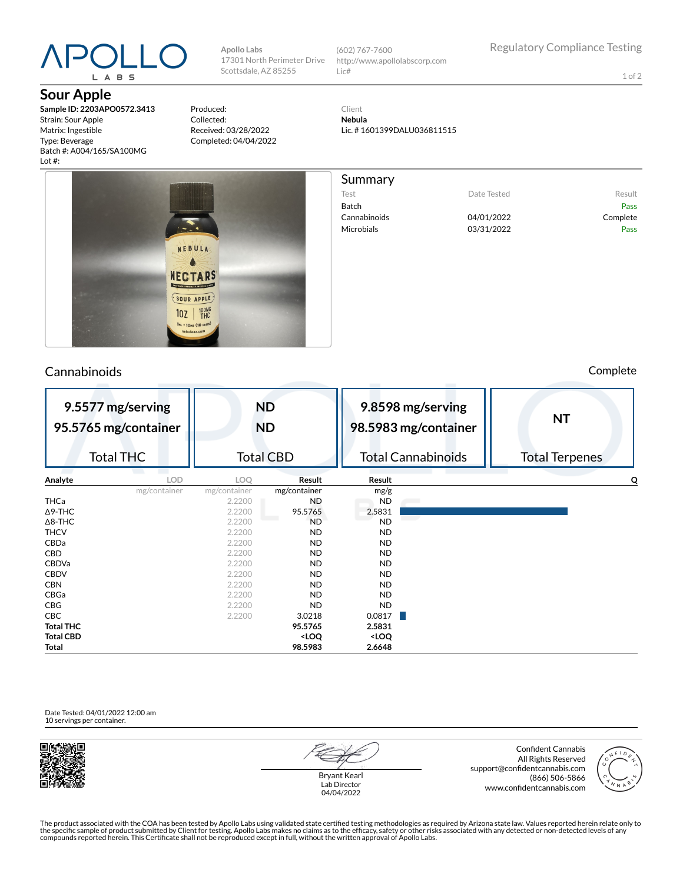# L A B S

**Sour Apple**

**Sample ID: 2203APO0572.3413** Strain: Sour Apple Matrix: Ingestible Type: Beverage Batch #: A004/165/SA100MG Lot #:

Produced: Collected: Received: 03/28/2022 Completed: 04/04/2022

**Apollo Labs**

17301 North Perimeter Drive Scottsdale, AZ 85255 (602) 767-7600 http://www.apollolabscorp.com Lic#

> Client **Nebula** Lic. # 1601399DALU036811515

Summary

Test **Date Tested** Result

Cannabinoids 04/01/2022 Complete Microbials **D3/31/2022** Pass

Batch Pass

**9.5577 mg/serving 95.5765 mg/container** Total THC **ND ND** Total CBD **9.8598 mg/serving 98.5983 mg/container** Total Cannabinoids **NT** Total Terpenes **Analyte LOD LOQ Result Result Q** mg/container mg/container mg/container mg/g THCa 2.2200 ND ND  $\Delta$ 9-THC 2.2200 95.5765 2.5831 Δ8-THC 2.2200 ND ND THCV 2.2200 ND ND CBDa 2.2200 ND ND CBD 2.2200 ND ND CBDVa 2.2200 ND ND

Date Tested: 04/01/2022 12:00 am 10 servings per container.



Bryant Kearl Lab Director 04/04/2022

Confident Cannabis All Rights Reserved support@confidentcannabis.com (866) 506-5866 www.confidentcannabis.com



The product associated with the COA has been tested by Apollo Labs using validated state certified testing methodologies as required by Arizona state law. Values reported herein relate only to<br>the specific sample of produc



CBDV 2.2200 ND ND CBN 2.2200 ND ND CBGa 2.2200 ND ND CBG 2.2200 ND ND **CBC** 2.2200 3.0218 0.0817 **Total THC 95.5765 2.5831 Total CBD <LOQ <LOQ Total 98.5983 2.6648**

#### Cannabinoids Complete